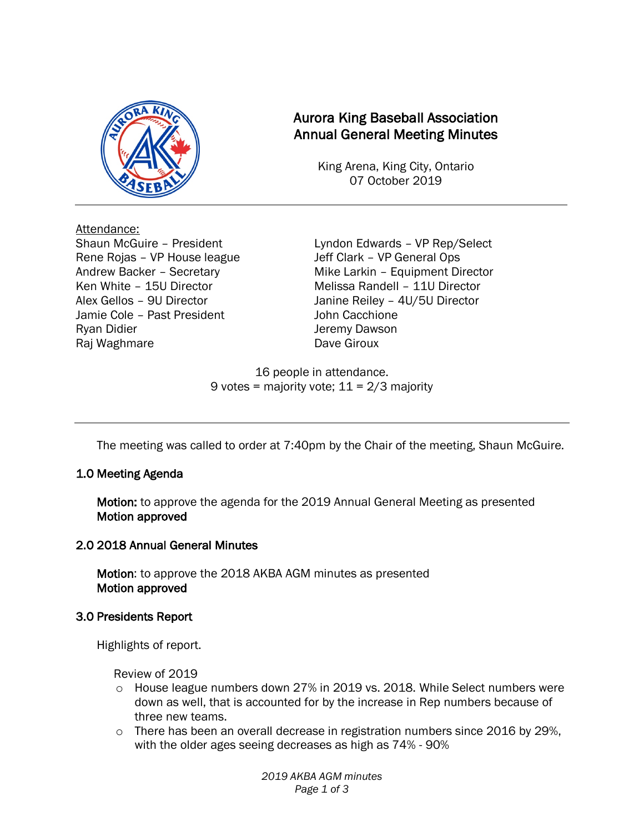

# Aurora King Baseball Association Annual General Meeting Minutes

King Arena, King City, Ontario 07 October 2019

Attendance: Rene Rojas – VP House league Jeff Clark – VP General Ops Jamie Cole – Past President Van Luis Vohn Cacchione Ryan Didier **Network** Server Dawson Raj Waghmare **Dave Giroux** Dave Giroux

Shaun McGuire – President Lyndon Edwards – VP Rep/Select Andrew Backer – Secretary Mike Larkin – Equipment Director Ken White – 15U Director Melissa Randell – 11U Director Alex Gellos – 9U Director Janine Reiley – 4U/5U Director

> 16 people in attendance. 9 votes = majority vote;  $11 = 2/3$  majority

The meeting was called to order at 7:40pm by the Chair of the meeting, Shaun McGuire.

## 1.0 Meeting Agenda

Motion: to approve the agenda for the 2019 Annual General Meeting as presented Motion approved

## 2.0 2018 Annual General Minutes

Motion: to approve the 2018 AKBA AGM minutes as presented Motion approved

## 3.0 Presidents Report

Highlights of report.

Review of 2019

- o House league numbers down 27% in 2019 vs. 2018. While Select numbers were down as well, that is accounted for by the increase in Rep numbers because of three new teams.
- $\circ$  There has been an overall decrease in registration numbers since 2016 by 29%, with the older ages seeing decreases as high as 74% - 90%

*2019 AKBA AGM minutes Page 1 of 3*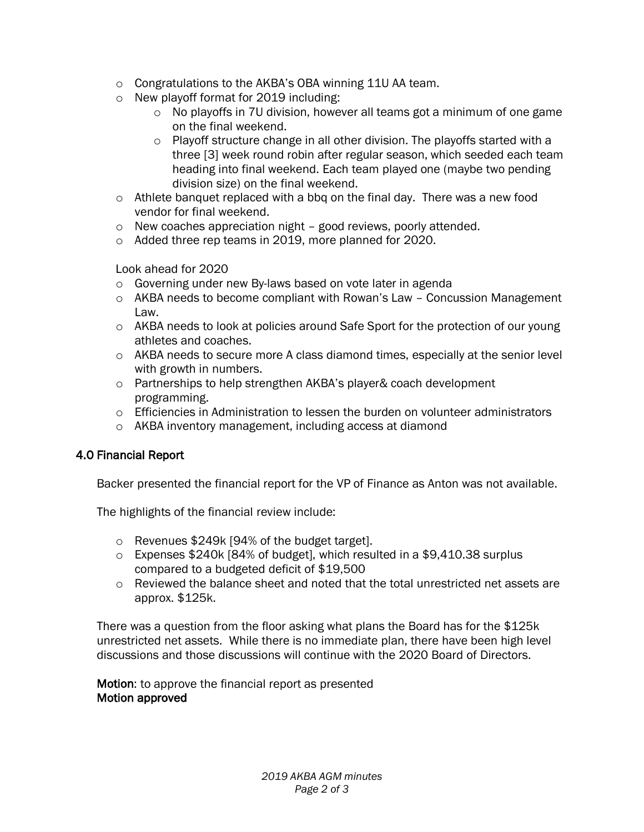- o Congratulations to the AKBA's OBA winning 11U AA team.
- o New playoff format for 2019 including:
	- $\circ$  No playoffs in 7U division, however all teams got a minimum of one game on the final weekend.
	- $\circ$  Playoff structure change in all other division. The playoffs started with a three [3] week round robin after regular season, which seeded each team heading into final weekend. Each team played one (maybe two pending division size) on the final weekend.
- $\circ$  Athlete banquet replaced with a bbq on the final day. There was a new food vendor for final weekend.
- o New coaches appreciation night good reviews, poorly attended.
- o Added three rep teams in 2019, more planned for 2020.

Look ahead for 2020

- o Governing under new By-laws based on vote later in agenda
- $\circ$  AKBA needs to become compliant with Rowan's Law Concussion Management Law.
- $\circ$  AKBA needs to look at policies around Safe Sport for the protection of our young athletes and coaches.
- $\circ$  AKBA needs to secure more A class diamond times, especially at the senior level with growth in numbers.
- o Partnerships to help strengthen AKBA's player& coach development programming.
- $\circ$  Efficiencies in Administration to lessen the burden on volunteer administrators
- o AKBA inventory management, including access at diamond

## 4.0 Financial Report

Backer presented the financial report for the VP of Finance as Anton was not available.

The highlights of the financial review include:

- o Revenues \$249k [94% of the budget target].
- o Expenses \$240k [84% of budget], which resulted in a \$9,410.38 surplus compared to a budgeted deficit of \$19,500
- o Reviewed the balance sheet and noted that the total unrestricted net assets are approx. \$125k.

There was a question from the floor asking what plans the Board has for the \$125k unrestricted net assets. While there is no immediate plan, there have been high level discussions and those discussions will continue with the 2020 Board of Directors.

Motion: to approve the financial report as presented Motion approved